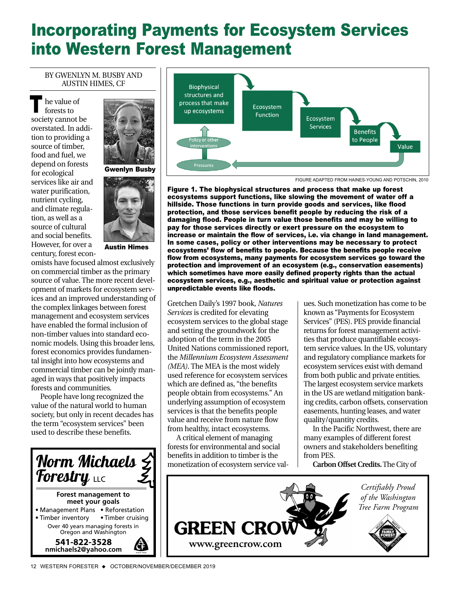## Incorporating Payments for Ecosystem Services into Western Forest Management

## BY GWENLYN M. BUSBY AND AUSTIN HIMES, CF

he value of forests to society cannot be overstated. In addition to providing a source of timber, food and fuel, we depend on forests for ecological services like air and water purification, nutrient cycling, and climate regulation, as well as a source of cultural and social benefits. However, for over a century, forest econ-T



Gwenlyn Busby



Austin Himes

omists have focused almost exclusively on commercial timber as the primary source of value. The more recent development of markets for ecosystem services and an improved understanding of the complex linkages between forest management and ecosystem services have enabled the formal inclusion of non-timber values into standard economic models. Using this broader lens, forest economics provides fundamental insight into how ecosystems and commercial timber can be jointly managed in ways that positively impacts forests and communities.

People have long recognized the value of the natural world to human society, but only in recent decades has the term "ecosystem services" been used to describe these benefits.





FIGURE ADAPTED FROM HAINES-YOUNG AND POTSCHIN, 2010

Figure 1. The biophysical structures and process that make up forest ecosystems support functions, like slowing the movement of water off a hillside. Those functions in turn provide goods and services, like flood protection, and those services benefit people by reducing the risk of a damaging flood. People in turn value those benefits and may be willing to pay for those services directly or exert pressure on the ecosystem to increase or maintain the flow of services, i.e. via change in land management. In some cases, policy or other interventions may be necessary to protect ecosystems' flow of benefits to people. Because the benefits people receive flow from ecosystems, many payments for ecosystem services go toward the protection and improvement of an ecosystem (e.g., conservation easements) which sometimes have more easily defined property rights than the actual ecosystem services, e.g., aesthetic and spiritual value or protection against unpredictable events like floods.

Gretchen Daily's 1997 book, *Natures Services* is credited for elevating ecosystem services to the global stage and setting the groundwork for the adoption of the term in the 2005 United Nations commissioned report, the *Millennium Ecosystem Assessment (MEA)*. The MEA is the most widely used reference for ecosystem services which are defined as, "the benefits people obtain from ecosystems." An underlying assumption of ecosystem services is that the benefits people value and receive from nature flow from healthy, intact ecosystems.

A critical element of managing forests for environmental and social benefits in addition to timber is the monetization of ecosystem service val-

ues. Such monetization has come to be known as "Payments for Ecosystem Services" (PES). PES provide financial returns for forest management activities that produce quantifiable ecosystem service values. In the US, voluntary and regulatory compliance markets for ecosystem services exist with demand from both public and private entities. The largest ecosystem service markets in the US are wetland mitigation banking credits, carbon offsets, conservation easements, hunting leases, and water quality/quantity credits.

In the Pacific Northwest, there are many examples of different forest owners and stakeholders benefiting from PES.

**Carbon Offset Credits.**The City of